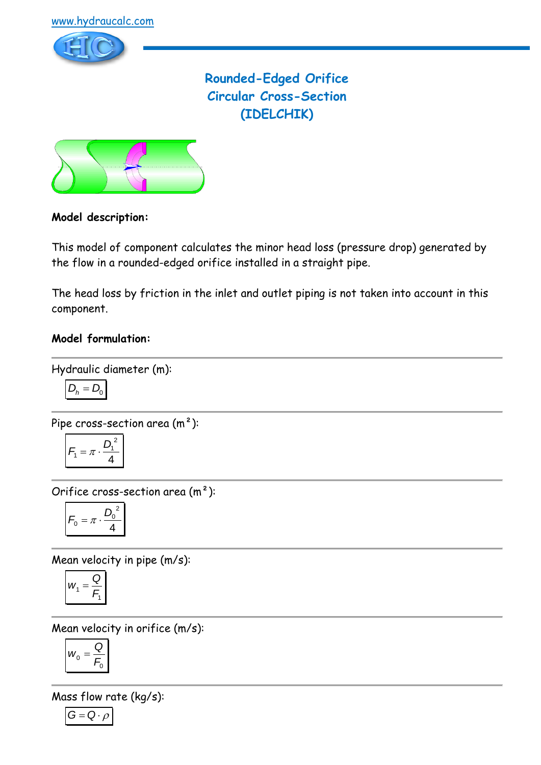

**Rounded-Edged Orifice Circular Cross-Section (IDELCHIK)**



# **Model description:**

This model of component calculates the minor head loss (pressure drop) generated by the flow in a rounded-edged orifice installed in a straight pipe.

The head loss by friction in the inlet and outlet piping is not taken into account in this component.

### **Model formulation:**

Hydraulic diameter (m):

$$
D_h = D_0
$$

Pipe cross-section area (m²):

$$
F_1 = \pi \cdot \frac{D_1^2}{4}
$$

Orifice cross-section area (m²):

$$
F_0 = \pi \cdot \frac{D_0^2}{4}
$$

Mean velocity in pipe (m/s):

$$
w_1 = \frac{Q}{F_1}
$$

Mean velocity in orifice (m/s):

$$
W_0 = \frac{Q}{F_0}
$$

Mass flow rate (kg/s):

$$
G=Q\cdot \rho
$$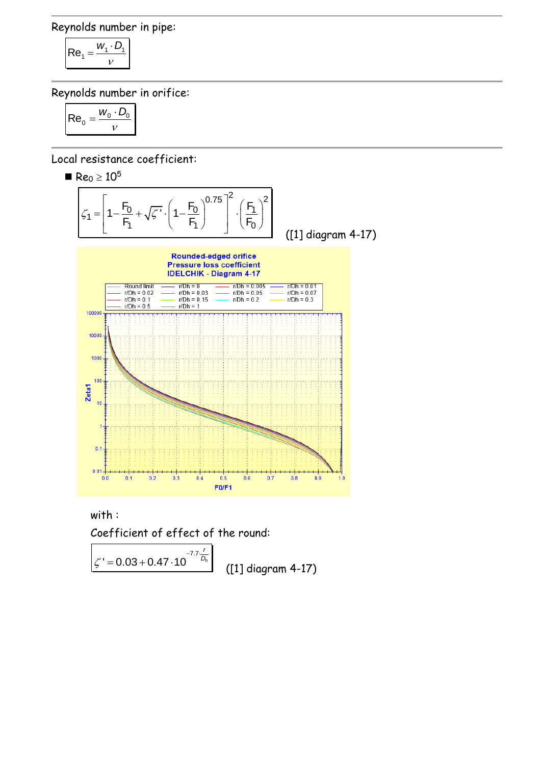Reynolds number in pipe:

$$
Re_1 = \frac{W_1 \cdot D_1}{V}
$$

Reynolds number in orifice:

$$
\mathsf{Re}_0 = \frac{w_0 \cdot D_0}{v}
$$

Local resistance coefficient:

 $\blacksquare$  Re<sub>0</sub>  $\geq 10^5$ 



 with : Coefficient of effect of the round:

 $-7.7$ ' $\zeta$ <sup>'</sup> = 0.03 + 0.47 · 10<sup>-7.7</sup> $\frac{R}{D_h}$ *r*  $\overline{D_h}$ ([1] diagram 4-17)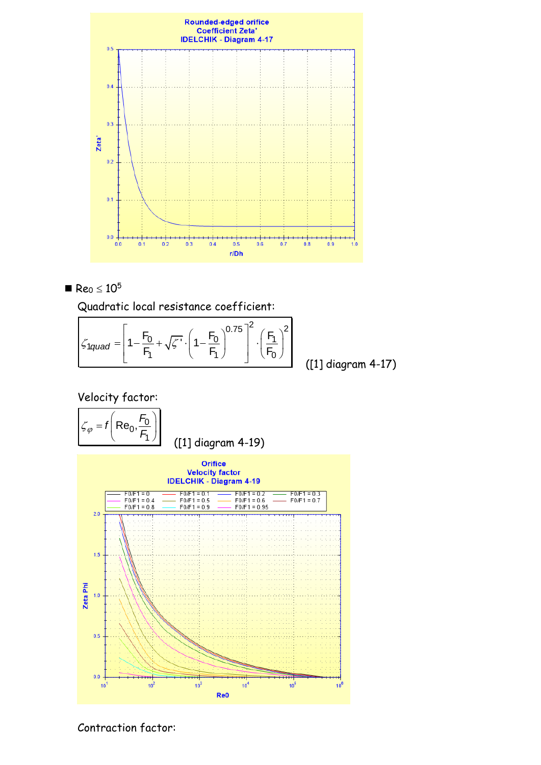



Quadratic local resistance coefficient:  
\n
$$
\zeta_{1quad} = \left[1 - \frac{F_0}{F_1} + \sqrt{\zeta'} \cdot \left(1 - \frac{F_0}{F_1}\right)^{0.75}\right]^2 \cdot \left(\frac{F_1}{F_0}\right)^2
$$
\n(1)

([1] diagram 4-17)

 Velocity factor:  $\begin{bmatrix} 6 & F_0 \end{bmatrix}$  $f(Re_0, \frac{F_0}{F_0})$  $0, \frac{\sqrt{0}}{2}$  $= f\left[\text{Re}_0, \frac{r_0}{F_1}\right]$  $\zeta_{\varphi} = f \left( \text{Re}_0, \frac{\tau}{F} \right)$  ([1] diagram 4-19) 1 **Orifice Velocity factor IDELCHIK - Diagram 4-19**  $\frac{FO/F1 = 0.1}{FO/F1 = 0.5}$ <br>F0/F1 = 0.9  $\frac{\text{FO/F1} = 0.2}{\text{FO/F1} = 0.6}$ <br>F0/F1 = 0.95  $-$  F0/F1 = 0.3<br>- F0/F1 = 0.7  $\frac{FO/F1 = 0}{FO/F1 = 0.4}$  $2.0$  $\overline{...}$ <del>. . . . .</del>  $1.5$ Zeta Phi  $1.0$  $0.5$  $0.0$  $10<sup>3</sup>$  $10<sup>4</sup>$  $10^5$  $10<sup>7</sup>$  $10<sup>7</sup>$  $10<sup>6</sup>$ Re0

Contraction factor: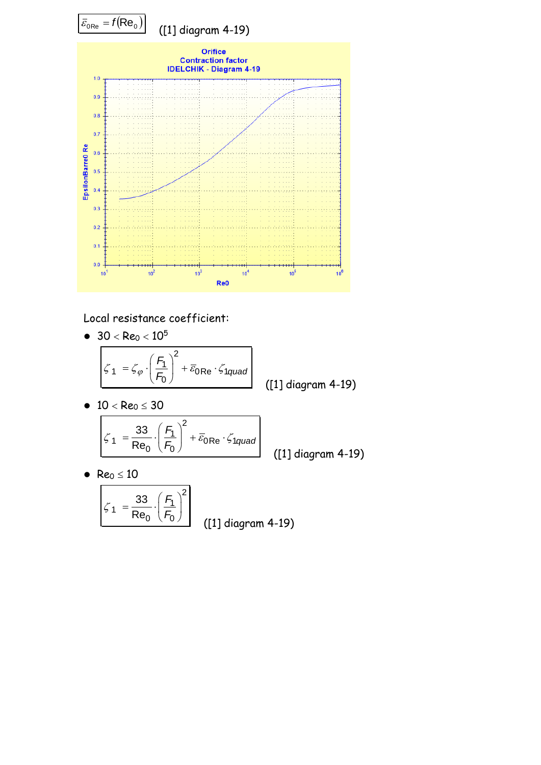

Local resistance coefficient:

 $\bullet$  30  $<$  Re<sub>0</sub>  $< 10^5$ 

$$
\boxed{\zeta_1 = \zeta_\varphi \cdot \left(\frac{F_1}{F_0}\right)^2 + \overline{\varepsilon}_{0\text{Re}} \cdot \zeta_{1\text{quad}}}
$$
 (11) diagram 4-19)

•  $10 < Re_0 \leq 30$ 

$$
\zeta_1 = \frac{33}{\text{Re}_0} \cdot \left(\frac{F_1}{F_0}\right)^2 + \overline{\varepsilon}_{0\text{Re}} \cdot \zeta_{1quad}
$$

([1] diagram 4-19)

•  $Re_0 \le 10$ 

$$
\zeta_1 = \frac{33}{\text{Re}_0} \cdot \left(\frac{F_1}{F_0}\right)^2
$$
 (11) diagram 4-19)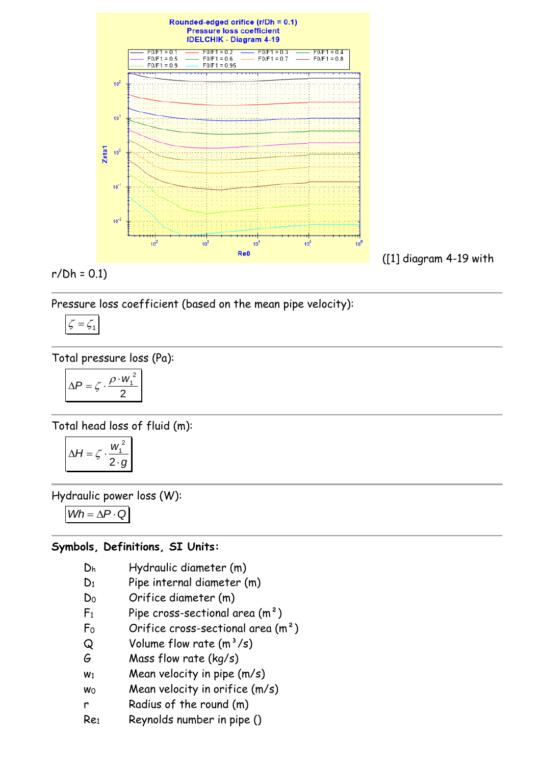

$$
r/Dh = 0.1
$$

Pressure loss coefficient (based on the mean pipe velocity):

$$
\zeta = \zeta_1
$$

Total pressure loss (Pa):

$$
\Delta P = \zeta \cdot \frac{\rho \cdot w_1^2}{2}
$$

Total head loss of fluid (m):

$$
\Delta H = \zeta \cdot \frac{w_1^2}{2 \cdot g}
$$

Hydraulic power loss (W):

 $Wh = \Delta P \cdot Q$ 

# **Symbols, Definitions, SI Units:**

- D<sup>h</sup> Hydraulic diameter (m)
- D<sub>1</sub> Pipe internal diameter (m)
- D<sup>0</sup> Orifice diameter (m)
- $F_1$  Pipe cross-sectional area  $(m^2)$
- $F_0$  Orifice cross-sectional area  $(m<sup>2</sup>)$
- $Q$  Volume flow rate  $(m^3/s)$
- G Mass flow rate (kg/s)
- $w_1$  Mean velocity in pipe  $(m/s)$
- $w_0$  Mean velocity in orifice  $(m/s)$
- r Radius of the round (m)
- Re<sup>1</sup> Reynolds number in pipe ()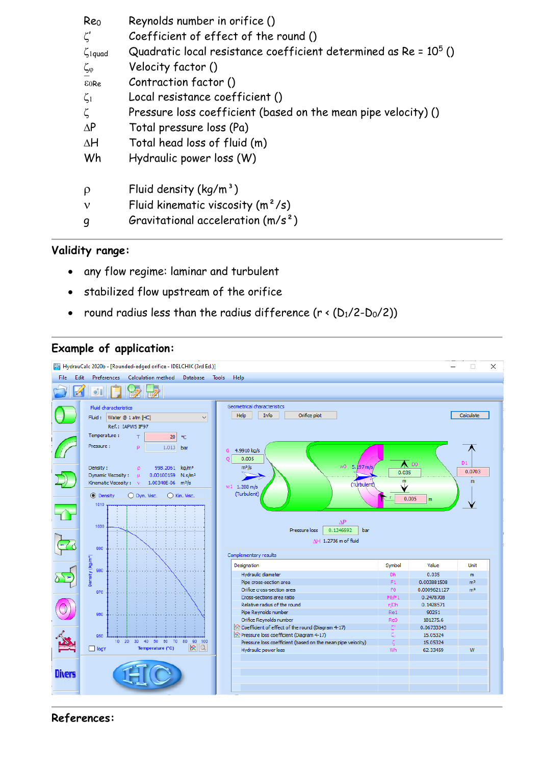| Reo<br>$\zeta'$          | Reynolds number in orifice ()<br>Coefficient of effect of the round () |
|--------------------------|------------------------------------------------------------------------|
| $\zeta$ <sub>1quad</sub> | Quadratic local resistance coefficient determined as $Re = 10^5$ ()    |
| $\zeta_{\varphi}$        | Velocity factor ()                                                     |
| E0Re                     | Contraction factor ()                                                  |
| $\zeta_1$                | Local resistance coefficient ()                                        |
| ζ                        | Pressure loss coefficient (based on the mean pipe velocity) ()         |
| $\Delta P$               | Total pressure loss (Pa)                                               |
| $\Delta H$               | Total head loss of fluid (m)                                           |
| Wh                       | Hydraulic power loss (W)                                               |
| ρ                        | Fluid density $(kq/m^3)$                                               |
| ν                        | Fluid kinematic viscosity $(m^2/s)$                                    |
| q                        | Gravitational acceleration $(m/s^2)$                                   |

### **Validity range:**

- any flow regime: laminar and turbulent
- stabilized flow upstream of the orifice
- round radius less than the radius difference  $(r \cdot (D_1/2-D_0/2))$

### **Example of application:**